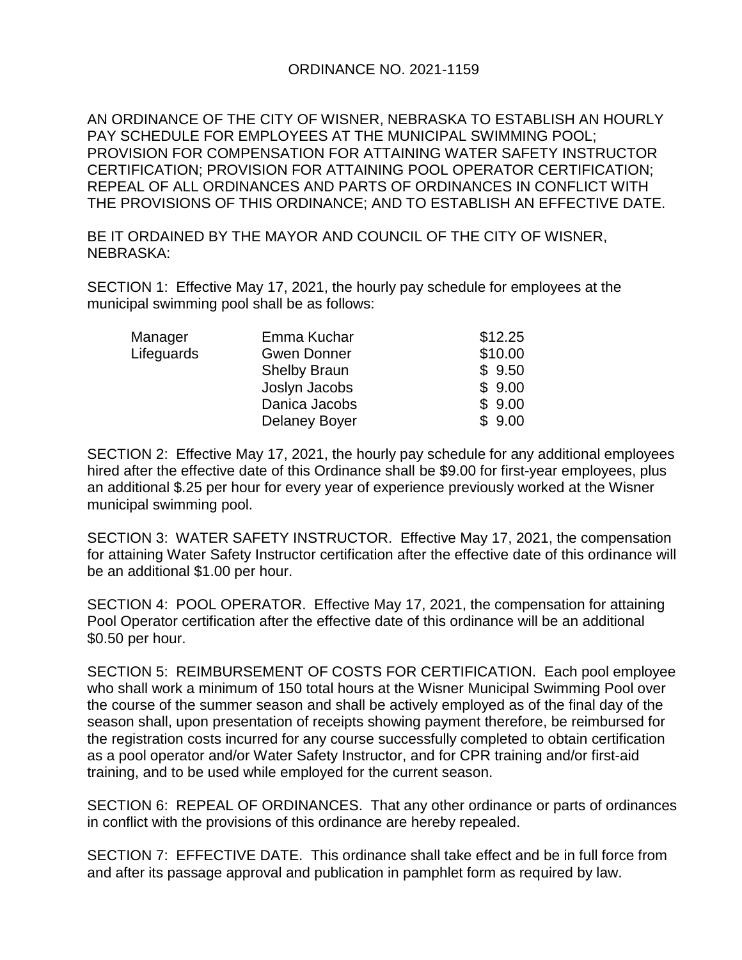## ORDINANCE NO. 2021-1159

AN ORDINANCE OF THE CITY OF WISNER, NEBRASKA TO ESTABLISH AN HOURLY PAY SCHEDULE FOR EMPLOYEES AT THE MUNICIPAL SWIMMING POOL; PROVISION FOR COMPENSATION FOR ATTAINING WATER SAFETY INSTRUCTOR CERTIFICATION; PROVISION FOR ATTAINING POOL OPERATOR CERTIFICATION; REPEAL OF ALL ORDINANCES AND PARTS OF ORDINANCES IN CONFLICT WITH THE PROVISIONS OF THIS ORDINANCE; AND TO ESTABLISH AN EFFECTIVE DATE.

BE IT ORDAINED BY THE MAYOR AND COUNCIL OF THE CITY OF WISNER, NEBRASKA:

SECTION 1: Effective May 17, 2021, the hourly pay schedule for employees at the municipal swimming pool shall be as follows:

| Manager    | Emma Kuchar          | \$12.25 |
|------------|----------------------|---------|
| Lifeguards | <b>Gwen Donner</b>   | \$10.00 |
|            | <b>Shelby Braun</b>  | \$9.50  |
|            | Joslyn Jacobs        | \$9.00  |
|            | Danica Jacobs        | \$9.00  |
|            | <b>Delaney Boyer</b> | \$9.00  |

SECTION 2: Effective May 17, 2021, the hourly pay schedule for any additional employees hired after the effective date of this Ordinance shall be \$9.00 for first-year employees, plus an additional \$.25 per hour for every year of experience previously worked at the Wisner municipal swimming pool.

SECTION 3: WATER SAFETY INSTRUCTOR. Effective May 17, 2021, the compensation for attaining Water Safety Instructor certification after the effective date of this ordinance will be an additional \$1.00 per hour.

SECTION 4: POOL OPERATOR. Effective May 17, 2021, the compensation for attaining Pool Operator certification after the effective date of this ordinance will be an additional \$0.50 per hour.

SECTION 5: REIMBURSEMENT OF COSTS FOR CERTIFICATION. Each pool employee who shall work a minimum of 150 total hours at the Wisner Municipal Swimming Pool over the course of the summer season and shall be actively employed as of the final day of the season shall, upon presentation of receipts showing payment therefore, be reimbursed for the registration costs incurred for any course successfully completed to obtain certification as a pool operator and/or Water Safety Instructor, and for CPR training and/or first-aid training, and to be used while employed for the current season.

SECTION 6: REPEAL OF ORDINANCES. That any other ordinance or parts of ordinances in conflict with the provisions of this ordinance are hereby repealed.

SECTION 7: EFFECTIVE DATE. This ordinance shall take effect and be in full force from and after its passage approval and publication in pamphlet form as required by law.